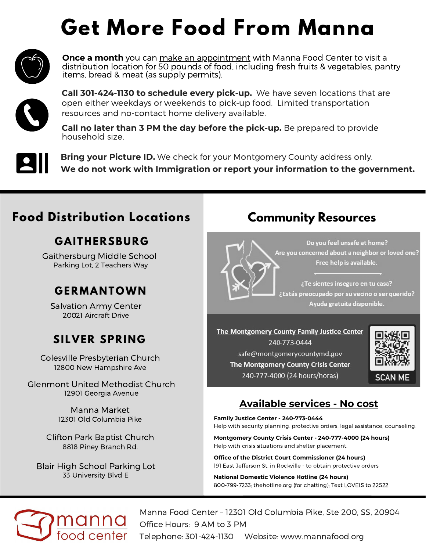# **Get More Food From Manna**



**Once a month** you can make an appointment with Manna Food Center to visit a distribution location for 50 pounds of food, including fresh fruits & vegetables, pantry items, bread & meat (as supply permits).



**Call 301-424-1130 to schedule every pick-up.** We have seven locations that are open either weekdays or weekends to pick-up food. Limited transportation resources and no-contact home delivery available.

**Call no later than 3 PM the day before the pick-up.** Be prepared to provide household size.



**Bring your Picture ID.** We check for your Montgomery County address only. **We do not work with Immigration or report your information to the government.**

# **Food Distribution Locations**

### **GAITHERSBURG**

Gaithersburg Middle School Parking Lot, 2 Teachers Way

# **G ERMA N TOWN**

Salvation Army Center 20021 Aircraft Drive

# **SILVER SPRING**

Colesville Presbyterian Church 12800 New Hampshire Ave

Glenmont United Methodist Church 12901 Georgia Avenue

> Manna Market 12301 Old Columbia Pike

Clifton Park Baptist Church 8818 Piney Branch Rd.

Blair High School Parking Lot 33 University Blvd E

# **Community Resources**



The Montgomery County Family Justice Center 240-773-0444 safe@montgomerycountymd.gov **The Montgomery County Crisis Center** 240-777-4000 (24 hours/horas)



### **Available services - No cost**

**Family Justice Center - 240-773-0444** Help with security planning, protective orders, legal assistance, counseling.

**Montgomery County Crisis Center - 240-777-4000 (24 hours)** Help with crisis situations and shelter placement.

**Office of the District Court Commissioner (24 hours)** 191 East Jefferson St. in Rockville - to obtain protective orders

**National Domestic Violence Hotline (24 hours)** 800-799-7233; thehotline.org (for chatting); Text LOVEIS to 22522



Manna Food Center – 12301 Old Columbia Pike, Ste 200, SS, 20904 Office Hours: 9 AM to 3 PM Telephone: 301-424-1130 Website: www.mannafood.org